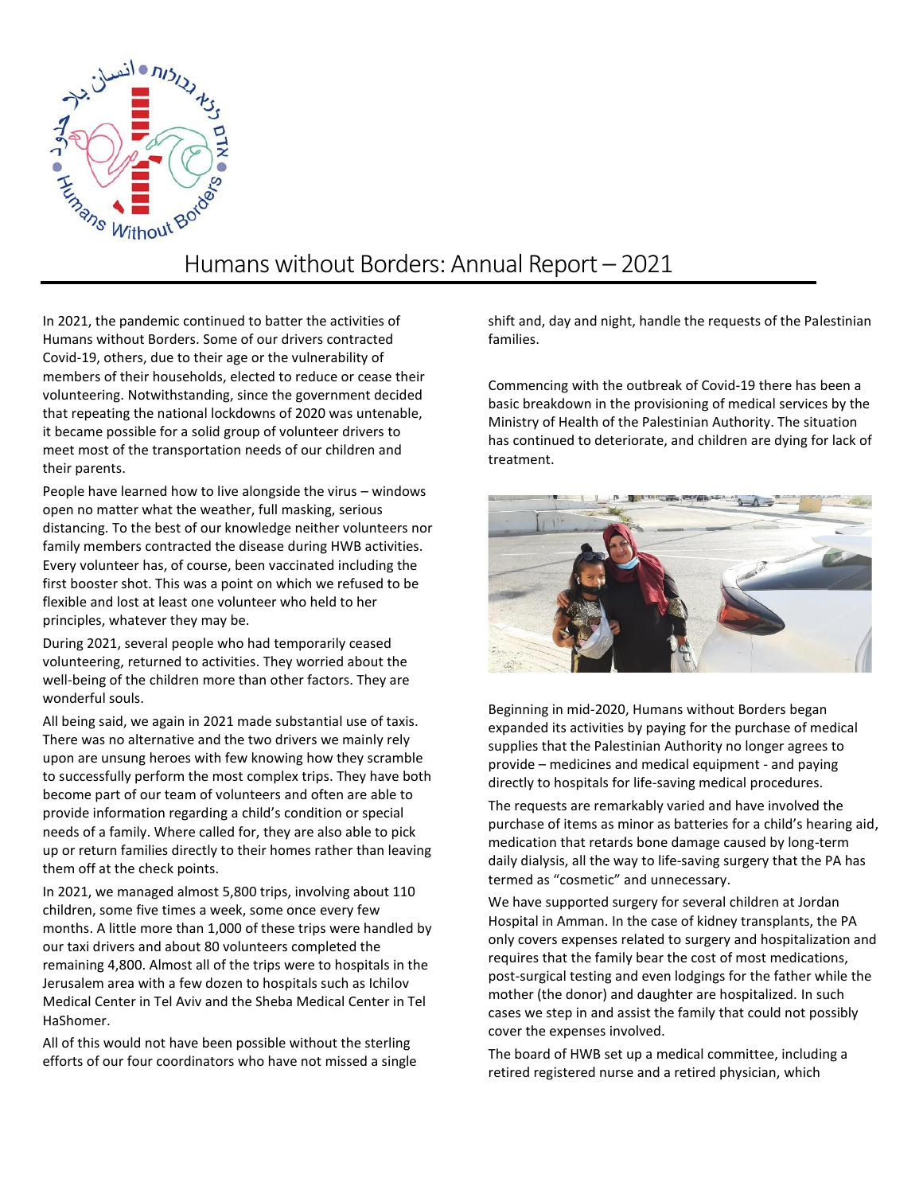

## Humans without Borders: Annual Report – 2021

In 2021, the pandemic continued to batter the activities of Humans without Borders. Some of our drivers contracted Covid-19, others, due to their age or the vulnerability of members of their households, elected to reduce or cease their volunteering. Notwithstanding, since the government decided that repeating the national lockdowns of 2020 was untenable, it became possible for a solid group of volunteer drivers to meet most of the transportation needs of our children and their parents.

People have learned how to live alongside the virus – windows open no matter what the weather, full masking, serious distancing. To the best of our knowledge neither volunteers nor family members contracted the disease during HWB activities. Every volunteer has, of course, been vaccinated including the first booster shot. This was a point on which we refused to be flexible and lost at least one volunteer who held to her principles, whatever they may be.

During 2021, several people who had temporarily ceased volunteering, returned to activities. They worried about the well-being of the children more than other factors. They are wonderful souls.

All being said, we again in 2021 made substantial use of taxis. There was no alternative and the two drivers we mainly rely upon are unsung heroes with few knowing how they scramble to successfully perform the most complex trips. They have both become part of our team of volunteers and often are able to provide information regarding a child's condition or special needs of a family. Where called for, they are also able to pick up or return families directly to their homes rather than leaving them off at the check points.

In 2021, we managed almost 5,800 trips, involving about 110 children, some five times a week, some once every few months. A little more than 1,000 of these trips were handled by our taxi drivers and about 80 volunteers completed the remaining 4,800. Almost all of the trips were to hospitals in the Jerusalem area with a few dozen to hospitals such as Ichilov Medical Center in Tel Aviv and the Sheba Medical Center in Tel HaShomer.

All of this would not have been possible without the sterling efforts of our four coordinators who have not missed a single shift and, day and night, handle the requests of the Palestinian families.

Commencing with the outbreak of Covid-19 there has been a basic breakdown in the provisioning of medical services by the Ministry of Health of the Palestinian Authority. The situation has continued to deteriorate, and children are dying for lack of treatment.



Beginning in mid-2020, Humans without Borders began expanded its activities by paying for the purchase of medical supplies that the Palestinian Authority no longer agrees to provide – medicines and medical equipment - and paying directly to hospitals for life-saving medical procedures.

The requests are remarkably varied and have involved the purchase of items as minor as batteries for a child's hearing aid, medication that retards bone damage caused by long-term daily dialysis, all the way to life-saving surgery that the PA has termed as "cosmetic" and unnecessary.

We have supported surgery for several children at Jordan Hospital in Amman. In the case of kidney transplants, the PA only covers expenses related to surgery and hospitalization and requires that the family bear the cost of most medications, post-surgical testing and even lodgings for the father while the mother (the donor) and daughter are hospitalized. In such cases we step in and assist the family that could not possibly cover the expenses involved.

The board of HWB set up a medical committee, including a retired registered nurse and a retired physician, which